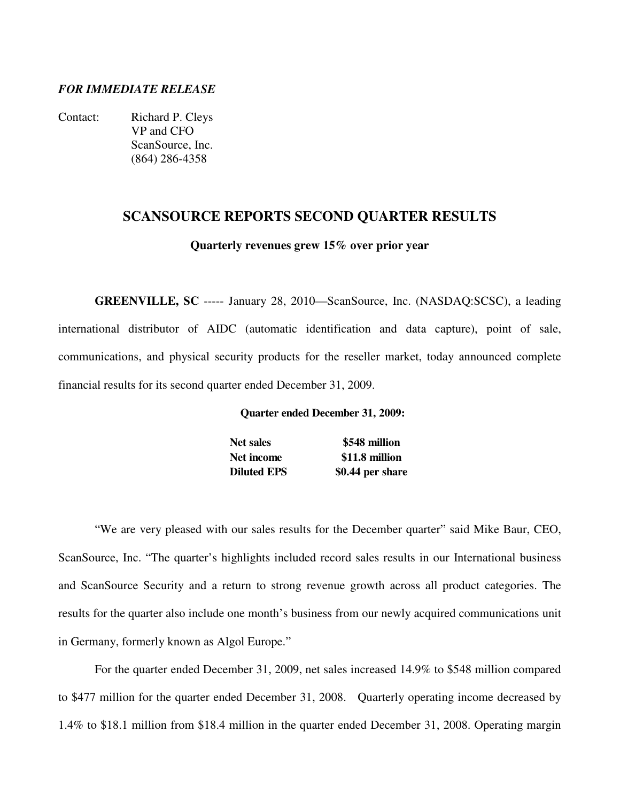# *FOR IMMEDIATE RELEASE*

Contact: Richard P. Cleys VP and CFO ScanSource, Inc. (864) 286-4358

### **SCANSOURCE REPORTS SECOND QUARTER RESULTS**

**Quarterly revenues grew 15% over prior year** 

**GREENVILLE, SC** ----- January 28, 2010—ScanSource, Inc. (NASDAQ:SCSC), a leading international distributor of AIDC (automatic identification and data capture), point of sale, communications, and physical security products for the reseller market, today announced complete financial results for its second quarter ended December 31, 2009.

**Quarter ended December 31, 2009:**

**Net sales \$548 million Net income \$11.8 million Diluted EPS** \$0.44 per share

"We are very pleased with our sales results for the December quarter" said Mike Baur, CEO, ScanSource, Inc. "The quarter's highlights included record sales results in our International business and ScanSource Security and a return to strong revenue growth across all product categories. The results for the quarter also include one month's business from our newly acquired communications unit in Germany, formerly known as Algol Europe."

 For the quarter ended December 31, 2009, net sales increased 14.9% to \$548 million compared to \$477 million for the quarter ended December 31, 2008. Quarterly operating income decreased by 1.4% to \$18.1 million from \$18.4 million in the quarter ended December 31, 2008. Operating margin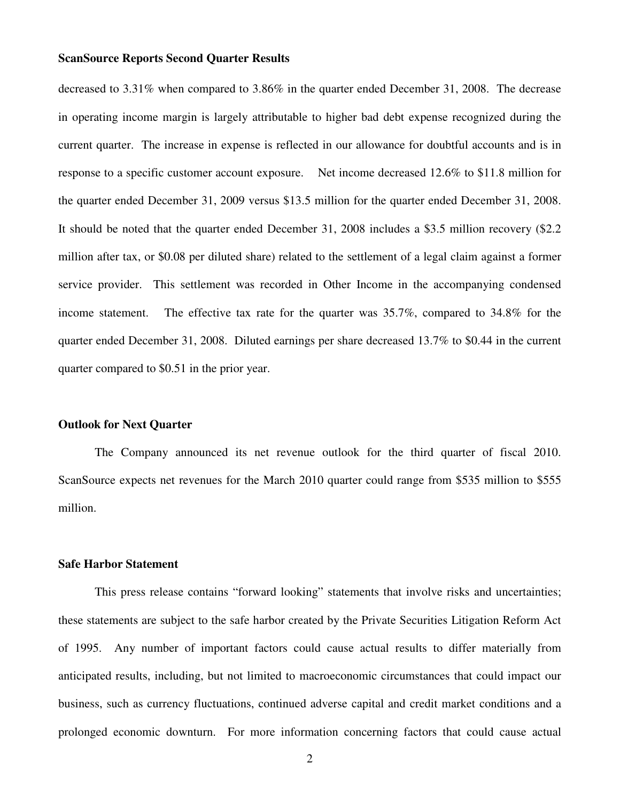decreased to 3.31% when compared to 3.86% in the quarter ended December 31, 2008. The decrease in operating income margin is largely attributable to higher bad debt expense recognized during the current quarter. The increase in expense is reflected in our allowance for doubtful accounts and is in response to a specific customer account exposure. Net income decreased 12.6% to \$11.8 million for the quarter ended December 31, 2009 versus \$13.5 million for the quarter ended December 31, 2008. It should be noted that the quarter ended December 31, 2008 includes a \$3.5 million recovery (\$2.2 million after tax, or \$0.08 per diluted share) related to the settlement of a legal claim against a former service provider. This settlement was recorded in Other Income in the accompanying condensed income statement. The effective tax rate for the quarter was 35.7%, compared to 34.8% for the quarter ended December 31, 2008. Diluted earnings per share decreased 13.7% to \$0.44 in the current quarter compared to \$0.51 in the prior year.

#### **Outlook for Next Quarter**

 The Company announced its net revenue outlook for the third quarter of fiscal 2010. ScanSource expects net revenues for the March 2010 quarter could range from \$535 million to \$555 million.

#### **Safe Harbor Statement**

 This press release contains "forward looking" statements that involve risks and uncertainties; these statements are subject to the safe harbor created by the Private Securities Litigation Reform Act of 1995. Any number of important factors could cause actual results to differ materially from anticipated results, including, but not limited to macroeconomic circumstances that could impact our business, such as currency fluctuations, continued adverse capital and credit market conditions and a prolonged economic downturn. For more information concerning factors that could cause actual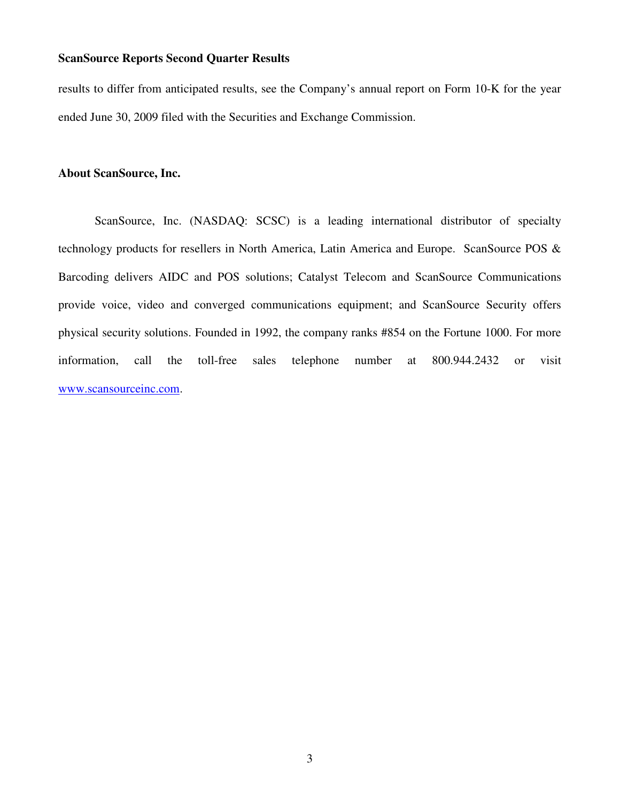results to differ from anticipated results, see the Company's annual report on Form 10-K for the year ended June 30, 2009 filed with the Securities and Exchange Commission.

### **About ScanSource, Inc.**

ScanSource, Inc. (NASDAQ: SCSC) is a leading international distributor of specialty technology products for resellers in North America, Latin America and Europe. ScanSource POS & Barcoding delivers AIDC and POS solutions; Catalyst Telecom and ScanSource Communications provide voice, video and converged communications equipment; and ScanSource Security offers physical security solutions. Founded in 1992, the company ranks #854 on the Fortune 1000. For more information, call the toll-free sales telephone number at 800.944.2432 or visit www.scansourceinc.com.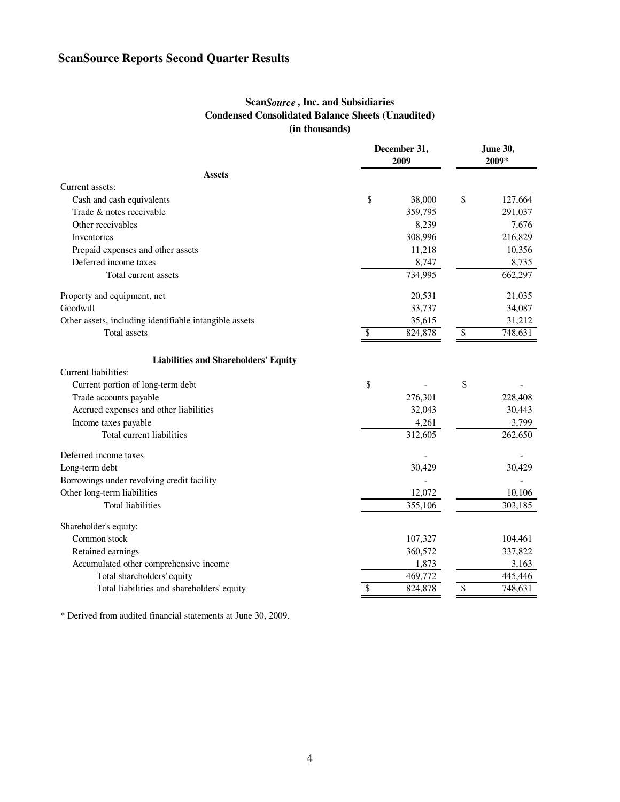# **Scan***Source* **, Inc. and Subsidiaries Condensed Consolidated Balance Sheets (Unaudited) (in thousands)**

|                                                        | December 31,<br>2009 |         |       | <b>June 30,</b><br>2009* |  |  |
|--------------------------------------------------------|----------------------|---------|-------|--------------------------|--|--|
| <b>Assets</b>                                          |                      |         |       |                          |  |  |
| Current assets:                                        |                      |         |       |                          |  |  |
| Cash and cash equivalents                              | \$                   | 38,000  | \$    | 127,664                  |  |  |
| Trade & notes receivable                               |                      | 359,795 |       | 291,037                  |  |  |
| Other receivables                                      |                      | 8,239   |       | 7,676                    |  |  |
| Inventories                                            |                      | 308,996 |       | 216,829                  |  |  |
| Prepaid expenses and other assets                      |                      | 11,218  |       | 10,356                   |  |  |
| Deferred income taxes                                  |                      | 8,747   | 8,735 |                          |  |  |
| Total current assets                                   |                      | 734,995 |       | 662,297                  |  |  |
| Property and equipment, net                            |                      | 20,531  |       | 21,035                   |  |  |
| Goodwill                                               |                      | 33,737  |       | 34,087                   |  |  |
| Other assets, including identifiable intangible assets |                      | 35,615  |       | 31,212                   |  |  |
| Total assets                                           | S                    | 824,878 | \$    | 748,631                  |  |  |
| <b>Liabilities and Shareholders' Equity</b>            |                      |         |       |                          |  |  |
| Current liabilities:                                   |                      |         |       |                          |  |  |
| Current portion of long-term debt                      | \$                   |         | \$    |                          |  |  |
| Trade accounts payable                                 |                      | 276,301 |       | 228,408                  |  |  |
| Accrued expenses and other liabilities                 |                      | 32,043  |       | 30,443                   |  |  |
| Income taxes payable                                   |                      | 4,261   |       | 3,799                    |  |  |
| Total current liabilities                              |                      | 312,605 |       | 262,650                  |  |  |
| Deferred income taxes                                  |                      |         |       |                          |  |  |
| Long-term debt                                         |                      | 30,429  |       | 30,429                   |  |  |
| Borrowings under revolving credit facility             |                      |         |       |                          |  |  |
| Other long-term liabilities                            |                      | 12,072  |       | 10,106                   |  |  |
| <b>Total liabilities</b>                               |                      | 355,106 |       | 303,185                  |  |  |
| Shareholder's equity:                                  |                      |         |       |                          |  |  |
| Common stock                                           |                      | 107,327 |       | 104,461                  |  |  |
| Retained earnings                                      |                      | 360,572 |       | 337,822                  |  |  |
| Accumulated other comprehensive income                 |                      | 1,873   |       | 3,163                    |  |  |
| Total shareholders' equity                             |                      | 469,772 |       | 445,446                  |  |  |
| Total liabilities and shareholders' equity             | \$                   | 824,878 | \$    | 748,631                  |  |  |

\* Derived from audited financial statements at June 30, 2009.